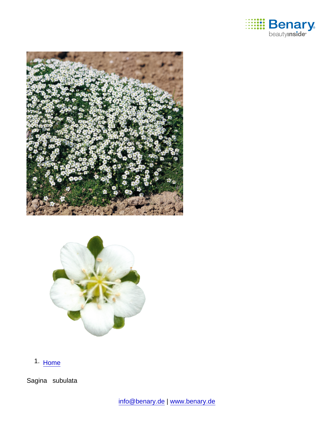

1. [Home](https://www.benary.com/)

Sagina subulata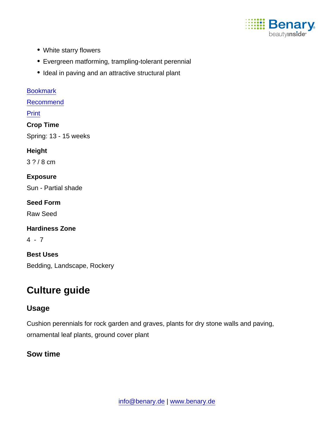

- White starry flowers
- Evergreen matforming, trampling-tolerant perennial
- Ideal in paving and an attractive structural plant

#### [Bookmark](https://www.benary.com/flag/flag/product/6240?destination&token=h8AZNXaciS8Bo2mqwHEqhomSBI8tV8dIovEKA2HlJ3U)

[Recommend](mailto:?subject=Benary Sagina subulata &body=https://www.benary.com/print/pdf/node/6240)

#### Print

Crop Time

Spring: 13 - 15 weeks

Height

3 ? / 8 cm

Exposure

Sun - Partial shade

Seed Form

Raw Seed

Hardiness Zone

4 - 7

Best Uses Bedding, Landscape, Rockery

# Culture guide

#### Usage

Cushion perennials for rock garden and graves, plants for dry stone walls and paving, ornamental leaf plants, ground cover plant

Sow time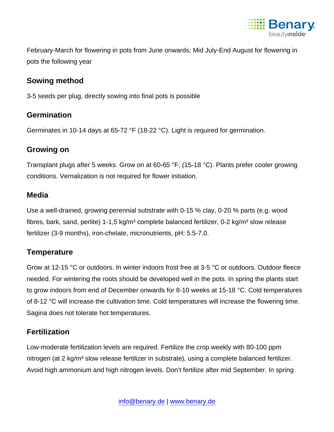

February-March for flowering in pots from June onwards; Mid July-End August for flowering in pots the following year

## Sowing method

3-5 seeds per plug, directly sowing into final pots is possible

## **Germination**

Germinates in 10-14 days at 65-72 °F (18-22 °C). Light is required for germination.

## Growing on

Transplant plugs after 5 weeks. Grow on at 60-65 °F; (15-18 °C). Plants prefer cooler growing conditions. Vernalization is not required for flower initiation.

#### **Media**

Use a well-drained, growing perennial substrate with 0-15 % clay, 0-20 % parts (e.g. wood fibres, bark, sand, perlite) 1-1,5 kg/m<sup>3</sup> complete balanced fertilizer, 0-2 kg/m<sup>3</sup> slow release fertilizer (3-9 months), iron-chelate, micronutrients, pH: 5.5-7.0.

# **Temperature**

Grow at 12-15 °C or outdoors. In winter indoors frost free at 3-5 °C or outdoors. Outdoor fleece needed. For wintering the roots should be developed well in the pots. In spring the plants start to grow indoors from end of December onwards for 8-10 weeks at 15-18 °C. Cold temperatures of 8-12 °C will increase the cultivation time. Cold temperatures will increase the flowering time. Sagina does not tolerate hot temperatures.

#### **Fertilization**

Low-moderate fertilization levels are required. Fertilize the crop weekly with 80-100 ppm nitrogen (at 2 kg/m<sup>3</sup> slow release fertilizer in substrate), using a complete balanced fertilizer. Avoid high ammonium and high nitrogen levels. Don't fertilize after mid September. In spring